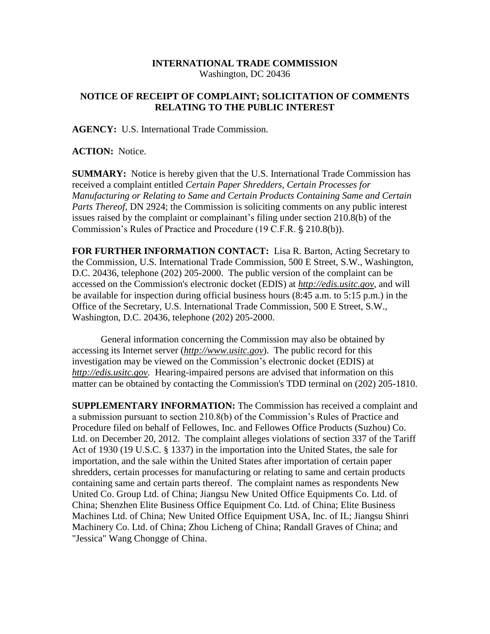## **INTERNATIONAL TRADE COMMISSION** Washington, DC 20436

## **NOTICE OF RECEIPT OF COMPLAINT; SOLICITATION OF COMMENTS RELATING TO THE PUBLIC INTEREST**

**AGENCY:** U.S. International Trade Commission.

**ACTION:** Notice.

**SUMMARY:** Notice is hereby given that the U.S. International Trade Commission has received a complaint entitled *Certain Paper Shredders, Certain Processes for Manufacturing or Relating to Same and Certain Products Containing Same and Certain Parts Thereof, DN 2924; the Commission is soliciting comments on any public interest* issues raised by the complaint or complainant's filing under section 210.8(b) of the Commission's Rules of Practice and Procedure (19 C.F.R. § 210.8(b)).

**FOR FURTHER INFORMATION CONTACT:** Lisa R. Barton, Acting Secretary to the Commission, U.S. International Trade Commission, 500 E Street, S.W., Washington, D.C. 20436, telephone (202) 205-2000. The public version of the complaint can be accessed on the Commission's electronic docket (EDIS) at *http://edis.usitc.gov*, and will be available for inspection during official business hours (8:45 a.m. to 5:15 p.m.) in the Office of the Secretary, U.S. International Trade Commission, 500 E Street, S.W., Washington, D.C. 20436, telephone (202) 205-2000.

General information concerning the Commission may also be obtained by accessing its Internet server (*http://www.usitc.gov*). The public record for this investigation may be viewed on the Commission's electronic docket (EDIS) at *http://edis.usitc.gov.* Hearing-impaired persons are advised that information on this matter can be obtained by contacting the Commission's TDD terminal on (202) 205-1810.

**SUPPLEMENTARY INFORMATION:** The Commission has received a complaint and a submission pursuant to section 210.8(b) of the Commission's Rules of Practice and Procedure filed on behalf of Fellowes, Inc. and Fellowes Office Products (Suzhou) Co. Ltd. on December 20, 2012. The complaint alleges violations of section 337 of the Tariff Act of 1930 (19 U.S.C. § 1337) in the importation into the United States, the sale for importation, and the sale within the United States after importation of certain paper shredders, certain processes for manufacturing or relating to same and certain products containing same and certain parts thereof. The complaint names as respondents New United Co. Group Ltd. of China; Jiangsu New United Office Equipments Co. Ltd. of China; Shenzhen Elite Business Office Equipment Co. Ltd. of China; Elite Business Machines Ltd. of China; New United Office Equipment USA, Inc. of IL; Jiangsu Shinri Machinery Co. Ltd. of China; Zhou Licheng of China; Randall Graves of China; and "Jessica" Wang Chongge of China.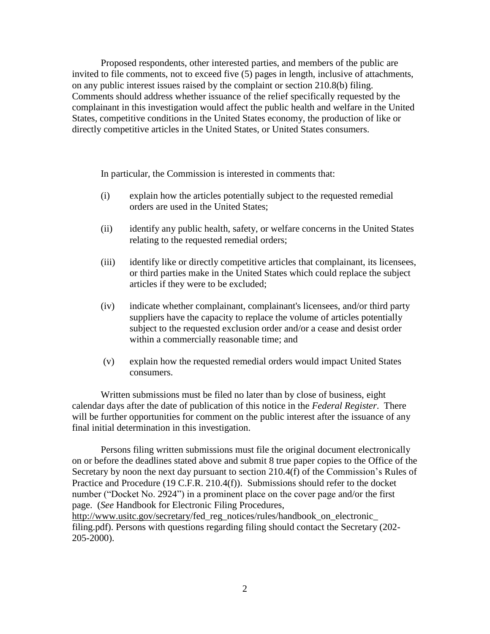Proposed respondents, other interested parties, and members of the public are invited to file comments, not to exceed five (5) pages in length, inclusive of attachments, on any public interest issues raised by the complaint or section 210.8(b) filing. Comments should address whether issuance of the relief specifically requested by the complainant in this investigation would affect the public health and welfare in the United States, competitive conditions in the United States economy, the production of like or directly competitive articles in the United States, or United States consumers.

In particular, the Commission is interested in comments that:

- (i) explain how the articles potentially subject to the requested remedial orders are used in the United States;
- (ii) identify any public health, safety, or welfare concerns in the United States relating to the requested remedial orders;
- (iii) identify like or directly competitive articles that complainant, its licensees, or third parties make in the United States which could replace the subject articles if they were to be excluded;
- (iv) indicate whether complainant, complainant's licensees, and/or third party suppliers have the capacity to replace the volume of articles potentially subject to the requested exclusion order and/or a cease and desist order within a commercially reasonable time; and
- (v) explain how the requested remedial orders would impact United States consumers.

Written submissions must be filed no later than by close of business, eight calendar days after the date of publication of this notice in the *Federal Register*. There will be further opportunities for comment on the public interest after the issuance of any final initial determination in this investigation.

Persons filing written submissions must file the original document electronically on or before the deadlines stated above and submit 8 true paper copies to the Office of the Secretary by noon the next day pursuant to section 210.4(f) of the Commission's Rules of Practice and Procedure (19 C.F.R. 210.4(f)). Submissions should refer to the docket number ("Docket No. 2924") in a prominent place on the cover page and/or the first page. (*See* Handbook for Electronic Filing Procedures,

http://www.usitc.gov/secretary/fed\_reg\_notices/rules/handbook\_on\_electronic filing.pdf). Persons with questions regarding filing should contact the Secretary (202- 205-2000).